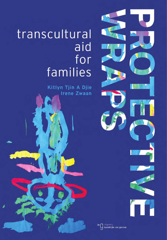# transcultural aid for families

Kitlyn Tjin A Djie **Irene Zwaan** 







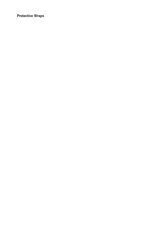**Protective Wraps**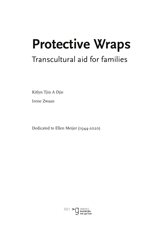# **Protective Wraps**

# Transcultural aid for families

Kitlyn Tjin A Djie

Irene Zwaan

Dedicated to Ellen Meijer (1944-2020)

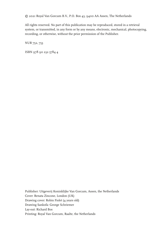© 2021 Royal Van Gorcum B.V., P.O. Box 43, 9400 AA Assen, The Netherlands

All rights reserved. No part of this publication may be reproduced, stored in a retrieval system, or transmitted, in any form or by any means, electronic, mechanical, photocopying, recording, or otherwise, without the prior permission of the Publisher.

NUR 752, 753

ISBN 978 90 232 5784 4

Publisher: Uitgeverij Koninklijke Van Gorcum, Assen, the Netherlands Cover: Renata Zincone, London (UK) Drawing cover: Robin Fiolet (4 years old) Drawing Sankofa: George Schriemer Lay-out: Richard Bos Printing: Royal Van Gorcum, Raalte, the Netherlands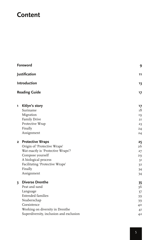## **Content**

| Foreword<br>Justification<br>Introduction<br><b>Reading Guide</b> |                                         | 9              |
|-------------------------------------------------------------------|-----------------------------------------|----------------|
|                                                                   |                                         | 11             |
|                                                                   |                                         | 13             |
|                                                                   |                                         | 17             |
| ı                                                                 | Kitlyn's story<br>Suriname<br>Migration | 17<br>18<br>19 |
|                                                                   | Family Drive                            | 2I             |
|                                                                   | Protective Wrap                         | 23             |
|                                                                   | Finally                                 | 24             |
|                                                                   | Assignment                              | 24             |
|                                                                   | 2 Protective Wraps                      | 25             |
|                                                                   | Origin of 'Protective Wraps'            | 26             |
|                                                                   | Wat exactly is 'Protective Wraps'?      | 27             |
|                                                                   | Compose yourself                        | 29             |
|                                                                   | A biological process                    | 3I             |
|                                                                   | Facilitating 'Protective Wraps'         | 3 <sup>2</sup> |
|                                                                   | Finally                                 | 34             |
|                                                                   | Assignment                              | 34             |
| $\overline{\mathbf{3}}$                                           | <b>Diverse Drenthe</b>                  | 35             |
|                                                                   | Peat and sand                           | 36             |
|                                                                   | Language                                | 37             |
|                                                                   | <b>Extended families</b>                | 39             |
|                                                                   | Noaberschap                             | 39             |
|                                                                   | Coexistence                             | $40^{\circ}$   |
|                                                                   | Working on diversity in Drenthe         | 4 <sub>I</sub> |
|                                                                   | Superdiversity, inclusion and exclusion | 4 <sup>2</sup> |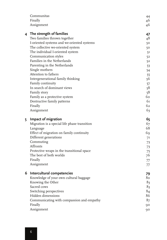|   | Communitas                                   | 44             |
|---|----------------------------------------------|----------------|
|   | Finally                                      | 46             |
|   | Assignment                                   | 46             |
|   | 4 The strength of families                   | 47             |
|   | Two families thrown together                 | 48             |
|   | I-oriented systems and we-oriented systems   | 50             |
|   | The collective we-oriented system            | 50             |
|   | The individual I-oriented system             | 51             |
|   | Communication styles                         | 52             |
|   | Families in the Netherlands                  | 52             |
|   | Parenting in the Netherlands                 | 53             |
|   | Single mothers                               | 54             |
|   | Attention to fathers                         | 55             |
|   | Intergenerational family thinking            | 56             |
|   | Family continuity                            | 57             |
|   | In search of dominant views                  | 58             |
|   | Family story                                 | 58             |
|   | Family as a protective system                | 60             |
|   | Destructive family patterns                  | 6т             |
|   | Finally                                      | 62             |
|   | Assignment                                   | 63             |
|   |                                              |                |
| 5 | Impact of migration                          | 65             |
|   | Migration is a special life phase transition | 67             |
|   | Language                                     | 68             |
|   | Effect of migration on family continuity     | 69             |
|   | Different generations                        | 71             |
|   | Commuting                                    | 73             |
|   | Affronts                                     | 73             |
|   | Protective wraps in the transitional space   | 75             |
|   | The best of both worlds                      | 76             |
|   | Finally                                      | 77             |
|   | Assignment                                   | 77             |
| 6 | Intercultural competencies                   | 79             |
|   | Knowledge of your own cultural baggage       | 80             |
|   | Knowing the Other                            | 83             |
|   | Sacred cows                                  | 83             |
|   | Switching perspectives                       | 84             |
|   | Hidden dimensions                            | 86             |
|   | Communicating with compassion and empathy    | 8 <sub>7</sub> |
|   |                                              |                |
|   | Finally                                      | 90             |
|   | Assignment                                   | 90             |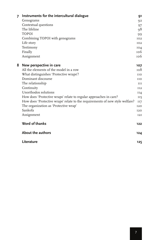| 7 | Instruments for the intercultural dialogue                                   | 91              |
|---|------------------------------------------------------------------------------|-----------------|
|   | Genograms                                                                    | Q <sub>2</sub>  |
|   | Contextual questions                                                         | 97              |
|   | The lifeline                                                                 | 98              |
|   | <b>TOPOI</b>                                                                 | 99              |
|   | Combining TOPOI with genograms                                               | TO2             |
|   | Life story                                                                   | IO2             |
|   | Testimony                                                                    | 104             |
|   | Finally                                                                      | 106             |
|   | Assignment                                                                   | <b>тоб</b>      |
| 8 | New perspective in care                                                      | 107             |
|   | All the elements of the model in a row                                       | 108             |
|   | What distinguishes 'Protective wraps'?                                       | <b>TTO</b>      |
|   | Dominant discourse                                                           | <b>TTO</b>      |
|   | The relationship                                                             | III             |
|   | Continuity                                                                   | II <sub>2</sub> |
|   | Unorthodox solutions                                                         | II4             |
|   | How does 'Protective wraps' relate to regular approaches in care?            | II5             |
|   | How does 'Protective wraps' relate to the requirements of new style welfare? | II7             |
|   | The organization as 'Protective wrap'                                        | <b>I2O</b>      |
|   | Sankofa                                                                      | <b>120</b>      |
|   | Assignment                                                                   | 12I             |
|   | <b>Word of thanks</b>                                                        | $122$           |
|   | About the authors                                                            | 124             |
|   | Literature                                                                   | 125             |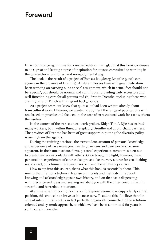### **Foreword**

In 2016 it's once again time for a revised edition. I am glad that this book continues to be a great and lasting source of inspiration for anyone committed to working in the care sector in an honest and non-judgmental way.

The book is the result of a project of Bureau Jeugdzorg Drenthe (youth care agency in the province of Drenthe). All its employees have with great dedication been working on carrying out a special assignment, which in actual fact should not be 'special', but should be normal and continuous: providing truly accessible and well-functioning care for all parents and children in Drenthe, including those who are migrants or Dutch with migrant backgrounds.

As a project team, we knew that quite a lot had been written already about transcultural work. However, we wanted to augment the range of publications with one based on practice and focused on the core of transcultural work for care workers themselves.

In the context of the transcultural work project, Kitlyn Tjin A Djie has trained many workers, both within Bureau Jeugdzorg Drenthe and at our chain partners. The province of Drenthe has been of great support in putting the diversity policy issue high on the agenda.

During the training sessions, the tremendous amount of personal knowledge and experience of case managers, family guardians and care workers became apparent. In their unconscious form, personal experiences sometimes turn out to create barriers in contacts with others. Once brought to light, however, these personal life experiences of course also prove to be the very source for establishing real contact, on a human level and irrespective of belief, history or race.

How to tap into this source, that's what this book is essentially about. This means that it is not a technical treatise on models and methods. It is about knowing and acknowledging your own history, and on that basis dispensing with preconceived ideas and seeking real dialogue with the other person. Even in stressful and hazardous situations.

At a time when imposing norms on 'foreigners' seems to occupy a fairly central position, this choice is as brave as it is necessary. To add to this, I believe that the core of intercultural work is in fact perfectly organically connected to the solutionoriented and systemic approach, to which we have been committed for years in youth care in Drenthe.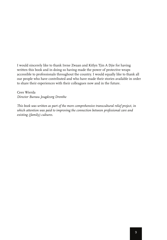I would sincerely like to thank Irene Zwaan and Kitlyn Tjin A Djie for having written this book and in doing so having made the power of protective wraps accessible to professionals throughout the country. I would equally like to thank all our people who have contributed and who have made their stories available in order to share their experiences with their colleagues now and in the future.

Cees Wierda *Director Bureau Jeugdzorg Drenthe*

*This book was written as part of the more comprehensive transcultural relief project, in which attention was paid to improving the connection between professional care and existing (family) cultures.*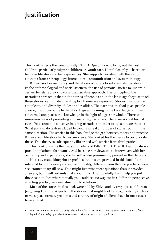## **Justification**

This book reflects the views of Kitlyn Tjin A Djie on how to bring out the best in children, particularly migrant children, in youth care. Her philosophy is based on her own life story and her experiences. She supports her ideas with theoretical concepts from anthropology, intercultural communication and system therapy.

Kitlyn uses her own story and the stories of others to substantiate her ideas. In the anthropological and social sciences, the use of personal stories to underpin certain beliefs is also known as the narrative approach. The principle of the narrative approach is that in the stories of people and in the language they use to tell these stories, certain ideas relating to a theme are expressed. Stories illustrate the complexity and diversity of ideas and realities. The narrative method gives people a voice; it ascribes value to the story. It gives meaning to the knowledge of those concerned and places this knowledge in the light of a greater whole.<sup>1</sup> There are numerous ways of presenting and analyzing narratives. There are no real formal rules. You cannot be objective in using narratives in order to substantiate theories. What you can do is draw plausible conclusions if a number of stories point in the same direction. The stories in this book bridge the gap between theory and practice. Kitlyn's own life story led to certain views. She looked for the theory to corroborate these. This theory is subsequently illustrated with stories from third parties.

This book presents the ideas and beliefs of Kitlyn Tjin A Djie. It does not always provide a platform for nuance. And because her views are so interwoven with her own story and experiences, she herself is also prominently present in the chapters.

No ready-made blueprint or prefab solutions are provided in this book. It is intended to offer a new perspective on reality, different from the one you have been accustomed to up till now. This might just raise more questions than it provides answers, but it will certainly make you think. And hopefully it will help you put those case studies where initially you could see no way out in a different perspective, enabling you to give a new direction to solutions.

Most of the stories in this book were told by Kitlyn and by employees of Bureau Jeugdzorg Drenthe. Aspects in the stories that might lead to recognizability such as names, place names, problems and country of origin of clients have in most cases been altered.

Does, M. van den en A. Arce (1998), 'The value of narratives in rural development projects. A case from Equador', *Journal of agricultural education and extension*, vol. 5, nr. 2, pp. 85-98.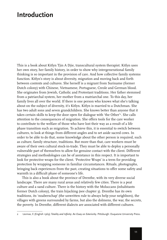## **Introduction**

This is a book about Kitlyn Tjin A Djie, transcultural system therapist. Kitlyn uses her own story, her family history, in order to show why intergenerational family thinking is so important in the provision of care. And how collective family systems function. Kitlyn's story is about diversity, migration and moving back and forth between contexts and cultures. She herself is a migrant from Suriname (former Dutch colony) with Chinese, Vietnamese, Portuguese, Creole and German blood. She originates from Jewish, Catholic and Protestant traditions**.** Her father stemmed from a patriarchal system, her mother from a matriarchal one. To this day, her family lives all over the world. If there is one person who knows what she's talking about on the subject of diversity, it's Kitlyn. Kitlyn is married to a Dutchman. She has two adult sons and seven grandchildren. She knows better than anyone that it takes certain skills to keep the door open for dialogue with 'the Other'<sup>2</sup>. She calls attention to the consequences of migration. She offers tools for the care worker to contribute to the welfare of those who have lost their way as a result of a life phase transition such as migration. To achieve this, it is essential to switch between cultures, to look at things from different angles and to set aside sacred cows. In order to be able to do that, some knowledge about the other person is required, such as culture, family structure, traditions. But more than that, care workers must be aware of their own cultural stock-in-trade. They must be able to deploy a personally vulnerable part of themselves to allow for genuine contact with the client. Different strategies and methodologies can be of assistance in this respect. It is important to look for protective wraps for the client. 'Protective Wraps' is a term for providing protection by wrapping someone in familiar circumstances. Rituals, photographs, bringing back experiences from the past, creating situations to offer some safety and warmth in a difficult phase of someone's life.

This is also a book about the province of Drenthe, with its very diverse social landscape. There are many rural areas and relatively few cities. There is a peat culture and a sand culture. There is the history with the Moluccans (inhabitants former Dutch colony), the train hijacking (see chapter 3). Drenthe has its own traditions, its 'noaberschap' (the unwritten rule to always help your neighbors), the villages with greens surrounded by farms, but also the dolmens, the war, the secrets, the poverty. In Drenthe, different dialects are associated with different cultures.

<sup>2</sup> Levinas, E (English 1969) *Totality and Infinity: An Essay on Exteriority*. Pittsburgh: Duquesne University Press.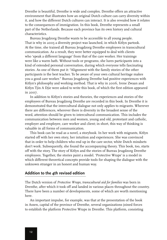Drenthe is beautiful, Drenthe is wide and complex. Drenthe offers an attractive environment that illustrates how an original Dutch culture can carry diversity within it, and how the different Dutch cultures can interact. It is also revealed how it relates to the consequences of immigration. In this book, Drenthe represents a small part of the Netherlands. Because each province has its own history and cultural characteristics.

Bureau Jeugdzorg Drenthe wants to be accessible to all young people. That is why in 2005 a diversity project was launched, in which Kitlyn partook. At the time, she trained all Bureau Jeugdzorg Drenthe employees in transcultural communication. As a result, they were better equipped to deal with clients who 'speak a different language' from that of the care worker. Her trainings were like a warm bath. Without tools or programs, she lures participants into a kind of extended personal conversation, during which everyone tells fascinating stories. As one of them put it: "Alignment with the family stories of the other participants is the best teacher. To be aware of your own cultural heritage makes you a good care worker." Bureau Jeugdzorg Drenthe had positive experiences with Kitlyn's philosophy and working method. That is why in 2006, Irene Zwaan and Kitlyn Tjin A Djie were asked to write this book, of which the first edition appeared in 2007.

In addition to Kitlyn's stories and theories, the experiences and stories of the employees of Bureau Jeugdzorg Drenthe are recorded in this book. In Drenthe it is demonstrated that the intercultural dialogue not only applies to migrants. Wherever there are differences, wherever there is diversity in the broadest sense of the word, attention should be given to intercultural communication. This includes the communication between men and women, young and old, protestant and catholic, employer and employee, care worker and client; in short, this way of thinking is valuable in all forms of communication.

This book can be read as a novel, a storybook. In her work with migrants, Kitlyn started off with her own story, her intuition and experiences. She was convinced that in order to help children who end up in the care sector, white Dutch mindsets don't work. Subsequently, she found the accompanying theory. This book, too, starts off with the story. The story of Kitlyn and the stories of Bureau Jeugdzorg Drenthe employees. Together, the stories paint a model. 'Protective Wraps' is a model in which different theoretical concepts provide tools for shaping the dialogue with the unknown stranger in an honest and human way.

#### **Addition to the 4th revised edition**

The Dutch version of *Protective Wraps, transcultural aid for families* was born in Drenthe, after which it took off and landed in various places throughout the country. There have been a number of developments, some of which are worth mentioning here.

An important impulse, for example, was that at the presentation of the book in Assen, capital of the province of Drenthe, several organizations joined forces to establish the platform Protective Wraps in Drenthe. This platform, consisting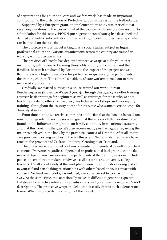of organizations for education, care and welfare work, has made an important contribution to the distribution of Protective Wraps in the rest of the Netherlands.

Supported by a European grant, an implementation study was carried out at seven organizations in the western part of the country, with very positive results. As a foundation for this study, PIONN (management consultancy) has developed and defined a scientific substantiation for the working model of protective wraps, which can be found on the website.

The protective wraps model is taught as a social studies subject in higher professional education. Various organizations across the country are trained in working with protective wraps.

The province of Utrecht has deployed protective wraps at eight youth care institutions, with a view to lowering thresholds for migrant children and their families. Research conducted by Forum into the impact of the project showed that there was a high appreciation for protective wraps among the participants in the training courses. The cultural sensitivity of care workers turned out to have increased significantly.

Gradually, we started putting up a house around our work: Bureau Beschermjassen (Protective Wraps Agency). Through this agency we offer training courses: basic trainings for beginners as well as trainings for those who want to teach the model to others. Kitlyn also gives lectures, workshops and in-company trainings throughout the country, meant for everyone who wants to create scope for diversity at work.

From time to time we receive comments on the fact that the book is focused too much on migrants. In such cases we argue that there is very little literature to be found on the influence of migration on family continuity in we-oriented systems, and that this book fills the gap. We also receive many positive signals regarding the major role played in the book by the provincial context of Drenthe. After all, many care providers working in cities in the northwestern Netherlands themselves have roots in the provinces of Zeeland, Limburg, Groningen or Friesland.

The protective wraps model contains a number of theoretical as well as practical elements. Everyone, regardless of personal or professional background, can make use of it. Apart from care workers, the participants at the training sessions include police officers, theater makers, midwives, civil servants and university college teachers. It's all about safety at the workplace, knowing your history, doing justice to yourself and establishing relationships with others based on your contact with yourself. No fixed methodology is entailed; everyone can set to work with it right away. At the same time, this occasionally makes it difficult to generate exposure. Databases for effective interventions, subsidizers and governments require SMART descriptions. The protective wraps model does not easily fit into such a demarcated frame. Which is precisely the strength of the model.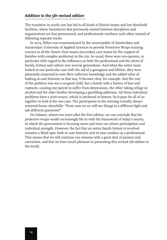#### **Addition to the 5th revised edition**

The transition in youth care has led to all kinds of district teams and low-threshold facilities, where boundaries that previously existed between disciplines and organizations are less pronounced, and professionals reinforce each other instead of following separate tracks.

In 2015, Kitlyn was commissioned by the municipality of Amsterdam and Amsterdam University of Applied Sciences to provide Protective Wraps training courses to all the *Samen Doen* teams (secondary care teams for the support of families with complex problems) in the city. As usual, there were eye-openers, in particular with regard to the influence on both the professional and the client of family, history and culture over several generations. And when the entire team looked at one particular case with the aid of a genogram and lifeline, they were pleasantly surprised to note their collective knowledge and the added value of looking at case histories in that way. It became clear, for example, that the root of the problem was not a no-good child, but a family with a history of loss and ruptures, causing one parent to suffer from depressions, the other taking refuge in alcohol and the elder brother developing a gambling addiction. All those individual problems have a joint source, which is anchored in history. So it pays for all of us together to look at the one case. The participants in the training virtually always returned home cheerfully: "From now on we will see things in a different light and ask different questions!"

On balance, almost ten years after the first edition, we can conclude that the protective wraps model increasingly fits in with the framework of today's society, in which the government is focusing more and more on citizen participation and individual strength. However, the fact that an entire family history is involved remains a blind spot, both in case histories and in your conduct as a professional. This means that we will continue our mission with a great deal of passion and conviction, and that we have much pleasure in presenting this revised 5th edition to the world.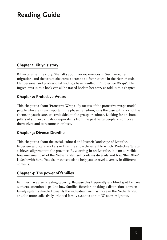## **Reading Guide**

#### **Chapter 1: Kitlyn's story**

Kitlyn tells her life story. She talks about her experiences in Suriname, her migration, and the issues she comes across as a Surinamese in the Netherlands. Her personal and professional findings have resulted in 'Protective Wraps'. The ingredients in this book can all be traced back to her story as told in this chapter.

#### **Chapter 2: Protective Wraps**

This chapter is about 'Protective Wraps'. By means of the protective wraps model, people who are in an important life phase transition, as is the case with most of the clients in youth care, are embedded in the group or culture. Looking for anchors, pillars of support, rituals or equivalents from the past helps people to compose themselves and to resume their lives.

#### **Chapter 3: Diverse Drenthe**

This chapter is about the social, cultural and historic landscape of Drenthe. Experiences of care workers in Drenthe show the extent to which 'Protective Wraps' achieves alignment in the province. By zooming in on Drenthe, it is made visible how one small part of the Netherlands itself contains diversity and how 'the Other' is dealt with here. You also receive tools to help you unravel diversity in different contexts.

#### **Chapter 4: The power of families**

Families have a self-healing capacity. Because this frequently is a blind spot for care workers, attention is paid to how families function, making a distinction between family systems directed towards the individual, such as those in the Netherlands, and the more collectively oriented family systems of non-Western migrants.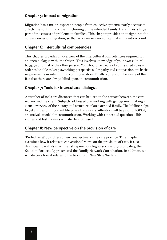#### **Chapter 5: Impact of migration**

Migration has a major impact on people from collective systems, partly because it affects the continuity of the functioning of the extended family. Herein lies a large part of the causes of problems in families. This chapter provides an insight into the consequences of migration, so that as a care worker you can take this into account.

#### **Chapter 6: Intercultural competencies**

This chapter provides an overview of the intercultural competencies required for an open dialogue with 'the Other'. This involves knowledge of your own cultural baggage and that of the other person. You should be aware of your sacred cows in order to be able to keep switching perspectives. Empathy and compassion are basic requirements in intercultural communication. Finally, you should be aware of the fact that there are always blind spots in communication.

#### **Chapter 7: Tools for intercultural dialogue**

A number of tools are discussed that can be used in the contact between the care worker and the client. Subjects addressed are working with genograms, making a visual overview of the history and structure of an extended family. The lifeline helps to get an idea of important life phase transitions. Attention will be paid to TOPOI, an analysis model for communication. Working with contextual questions, life stories and testimonials will also be discussed.

#### **Chapter 8: New perspective on the provision of care**

'Protective Wraps' offers a new perspective on the care practice. This chapter examines how it relates to conventional views on the provision of care. It also describes how it fits in with existing methodologies such as Signs of Safety, the Solution Focused Approach and the Family Network Consultation. In addition, we will discuss how it relates to the beacons of New Style Welfare.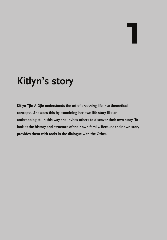# **1**

# **Kitlyn's story**

**Kitlyn Tjin A Djie understands the art of breathing life into theoretical concepts. She does this by examining her own life story like an anthropologist. In this way she invites others to discover their own story. To look at the history and structure of their own family. Because their own story provides them with tools in the dialogue with the Other.**